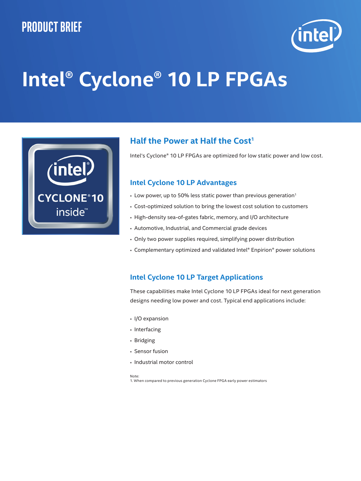## **Product brief**



# **Intel® Cyclone® 10 LP FPGAs**



### **Half the Power at Half the Cost<sup>1</sup>**

Intel's Cyclone® 10 LP FPGAs are optimized for low static power and low cost.

#### **Intel Cyclone 10 LP Advantages**

- $\cdot$  Low power, up to 50% less static power than previous generation<sup>1</sup>
- Cost-optimized solution to bring the lowest cost solution to customers
- High-density sea-of-gates fabric, memory, and I/O architecture
- Automotive, Industrial, and Commercial grade devices
- Only two power supplies required, simplifying power distribution
- Complementary optimized and validated Intel® Enpirion® power solutions

#### **Intel Cyclone 10 LP Target Applications**

These capabilities make Intel Cyclone 10 LP FPGAs ideal for next generation designs needing low power and cost. Typical end applications include:

- I/O expansion
- Interfacing
- Bridging
- Sensor fusion
- Industrial motor control

#### Note:

1. When compared to previous generation Cyclone FPGA early power estimators